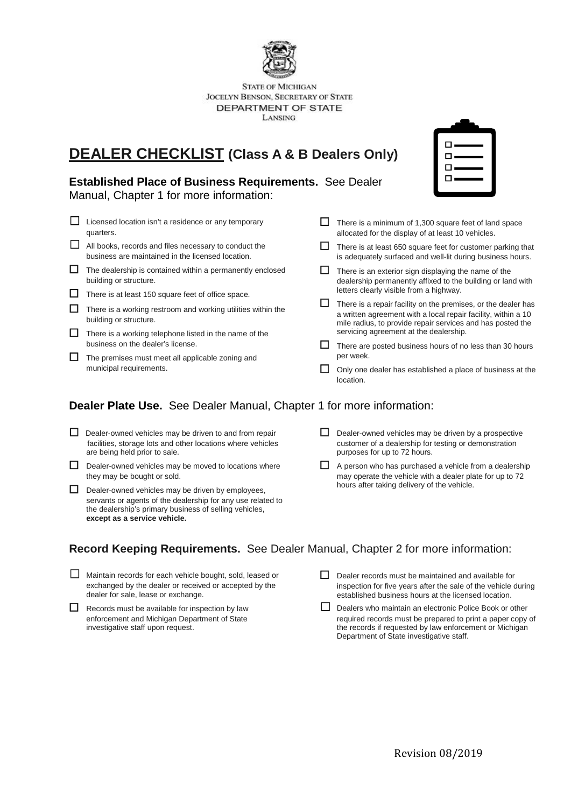

**STATE OF MICHIGAN** JOCELYN BENSON, SECRETARY OF STATE DEPARTMENT OF STATE LANSING

# **DEALER CHECKLIST (Class A & B Dealers Only)**

#### **Established Place of Business Requirements.** See Dealer

Manual, Chapter 1 for more information:

- □ Licensed location isn't a residence or any temporary quarters.
- ☐ All books, records and files necessary to conduct the business are maintained in the licensed location.
- The dealership is contained within a permanently enclosed building or structure.
- □ There is at least 150 square feet of office space.
- $\Box$  There is a working restroom and working utilities within the building or structure.
- $\Box$  There is a working telephone listed in the name of the business on the dealer's license.
- $\Box$  The premises must meet all applicable zoning and municipal requirements.



- □ There is a minimum of 1,300 square feet of land space allocated for the display of at least 10 vehicles.
- □ There is at least 650 square feet for customer parking that is adequately surfaced and well-lit during business hours.
- $\Box$  There is an exterior sign displaying the name of the dealership permanently affixed to the building or land with letters clearly visible from a highway.
- $\Box$  There is a repair facility on the premises, or the dealer has a written agreement with a local repair facility, within a 10 mile radius, to provide repair services and has posted the servicing agreement at the dealership.
- $\Box$  There are posted business hours of no less than 30 hours per week.
- □ Only one dealer has established a place of business at the location.

### **Dealer Plate Use.** See Dealer Manual, Chapter 1 for more information:

- □ Dealer-owned vehicles may be driven to and from repair facilities, storage lots and other locations where vehicles are being held prior to sale.
- □ Dealer-owned vehicles may be moved to locations where they may be bought or sold.
- $\Box$  Dealer-owned vehicles may be driven by employees. servants or agents of the dealership for any use related to the dealership's primary business of selling vehicles, **except as a service vehicle.**
- $\Box$  Dealer-owned vehicles may be driven by a prospective customer of a dealership for testing or demonstration purposes for up to 72 hours.
- □ A person who has purchased a vehicle from a dealership may operate the vehicle with a dealer plate for up to 72 hours after taking delivery of the vehicle.

#### **Record Keeping Requirements.** See Dealer Manual, Chapter 2 for more information:

- ☐ Maintain records for each vehicle bought, sold, leased or exchanged by the dealer or received or accepted by the dealer for sale, lease or exchange.
- □ Records must be available for inspection by law enforcement and Michigan Department of State investigative staff upon request.
- $\Box$  Dealer records must be maintained and available for inspection for five years after the sale of the vehicle during established business hours at the licensed location.
- □ Dealers who maintain an electronic Police Book or other required records must be prepared to print a paper copy of the records if requested by law enforcement or Michigan Department of State investigative staff.